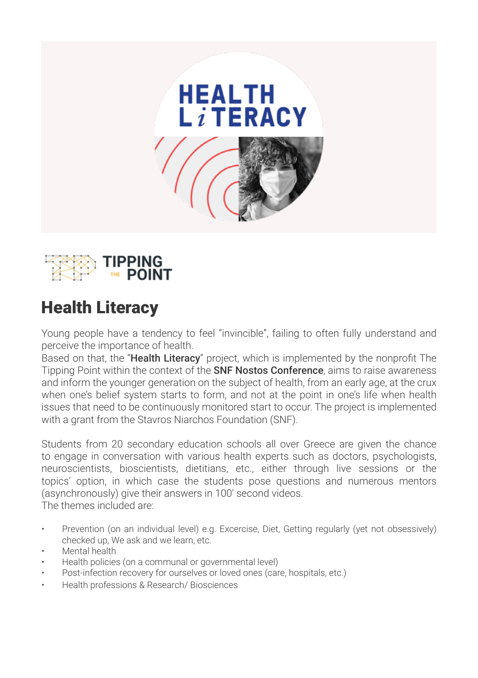



## Health Literacy

Young people have a tendency to feel "invincible", failing to often fully understand and perceive the importance of health.

Based on that, the "**Health Literacy**" project, which is implemented by the nonprofit The Tipping Point within the context of the **SNF Nostos Conference**, aims to raise awareness and inform the younger generation on the subject of health, from an early age, at the crux when one's belief system starts to form, and not at the point in one's life when health issues that need to be continuously monitored start to occur. The project is implemented with a grant from the Stavros Niarchos Foundation (SNF).

Students from 20 secondary education schools all over Greece are given the chance to engage in conversation with various health experts such as doctors, psychologists, neuroscientists, bioscientists, dietitians, etc., either through live sessions or the topics' option, in which case the students pose questions and numerous mentors (asynchronously) give their answers in 100' second videos. The themes included are:

- Prevention (on an individual level) e.g. Excercise, Diet, Getting regularly (yet not obsessively) checked up, We ask and we learn, etc.
- Mental health
- Health policies (on a communal or governmental level)
- Post-infection recovery for ourselves or loved ones (care, hospitals, etc.)
- Health professions & Research/ Biosciences